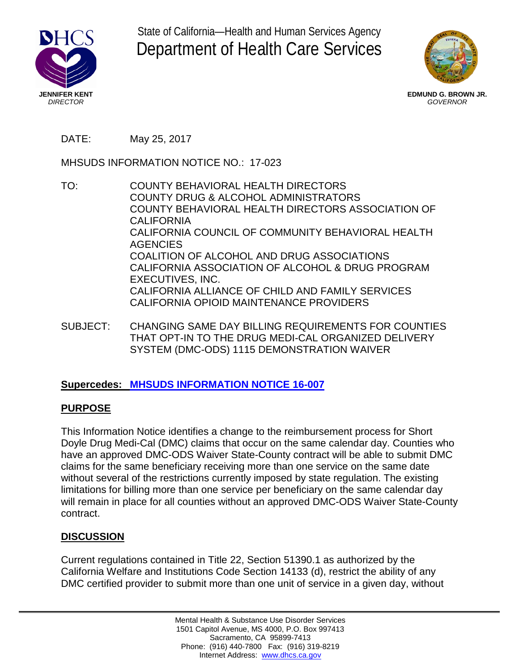

State of California—Health and Human Services Agency Department of Health Care Services



**EDMUND G. BROWN JR.** *GOVERNOR*

DATE: May 25, 2017

MHSUDS INFORMATION NOTICE NO.: 17-023

- TO: COUNTY BEHAVIORAL HEALTH DIRECTORS COUNTY DRUG & ALCOHOL ADMINISTRATORS COUNTY BEHAVIORAL HEALTH DIRECTORS ASSOCIATION OF CALIFORNIA CALIFORNIA COUNCIL OF COMMUNITY BEHAVIORAL HEALTH **AGENCIES** COALITION OF ALCOHOL AND DRUG ASSOCIATIONS CALIFORNIA ASSOCIATION OF ALCOHOL & DRUG PROGRAM EXECUTIVES, INC. CALIFORNIA ALLIANCE OF CHILD AND FAMILY SERVICES CALIFORNIA OPIOID MAINTENANCE PROVIDERS
- SUBJECT: CHANGING SAME DAY BILLING REQUIREMENTS FOR COUNTIES THAT OPT-IN TO THE DRUG MEDI-CAL ORGANIZED DELIVERY SYSTEM (DMC-ODS) 1115 DEMONSTRATION WAIVER

# **Supercedes: [MHSUDS INFORMATION NOTICE 16-007](http://www.dhcs.ca.gov/formsandpubs/Documents/MHSUDS_Information_Notice_16-007_FINAL_7.25.16.pdf)**

# **PURPOSE**

This Information Notice identifies a change to the reimbursement process for Short Doyle Drug Medi-Cal (DMC) claims that occur on the same calendar day. Counties who have an approved DMC-ODS Waiver State-County contract will be able to submit DMC claims for the same beneficiary receiving more than one service on the same date without several of the restrictions currently imposed by state regulation. The existing limitations for billing more than one service per beneficiary on the same calendar day will remain in place for all counties without an approved DMC-ODS Waiver State-County contract.

# **DISCUSSION**

Current regulations contained in Title 22, Section 51390.1 as authorized by the California Welfare and Institutions Code Section 14133 (d), restrict the ability of any DMC certified provider to submit more than one unit of service in a given day, without